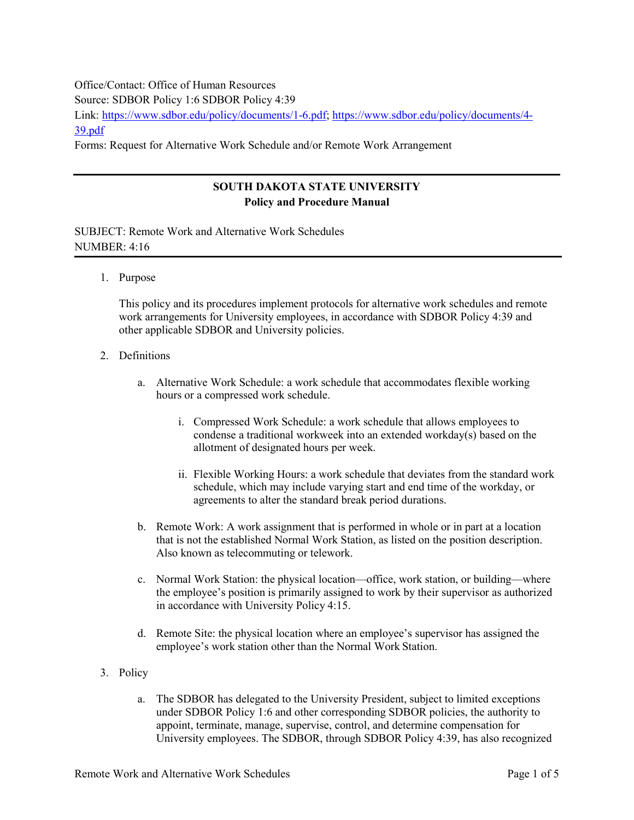## Office/Contact: Office of Human Resources Source: SDBOR Policy 1:6 SDBOR Policy 4:39 Link: [https://www.sdbor.edu/policy/documents/1-6.pdf;](https://www.sdbor.edu/policy/documents/1-6.pdf) [https://www.sdbor.edu/policy/documents/4-](https://www.sdbor.edu/policy/documents/4-39.pdf) [39.pdf](https://www.sdbor.edu/policy/documents/4-39.pdf) Forms: Request for Alternative Work Schedule and/or Remote Work Arrangement

## **SOUTH DAKOTA STATE UNIVERSITY Policy and Procedure Manual**

SUBJECT: Remote Work and Alternative Work Schedules NUMBER: 4:16

1. Purpose

This policy and its procedures implement protocols for alternative work schedules and remote work arrangements for University employees, in accordance with SDBOR Policy 4:39 and other applicable SDBOR and University policies.

- 2. Definitions
	- a. Alternative Work Schedule: a work schedule that accommodates flexible working hours or a compressed work schedule.
		- i. Compressed Work Schedule: a work schedule that allows employees to condense a traditional workweek into an extended workday(s) based on the allotment of designated hours per week.
		- ii. Flexible Working Hours: a work schedule that deviates from the standard work schedule, which may include varying start and end time of the workday, or agreements to alter the standard break period durations.
	- b. Remote Work: A work assignment that is performed in whole or in part at a location that is not the established Normal Work Station, as listed on the position description. Also known as telecommuting or telework.
	- c. Normal Work Station: the physical location—office, work station, or building—where the employee's position is primarily assigned to work by their supervisor as authorized in accordance with University Policy 4:15.
	- d. Remote Site: the physical location where an employee's supervisor has assigned the employee's work station other than the Normal Work Station.
- 3. Policy
	- a. The SDBOR has delegated to the University President, subject to limited exceptions under SDBOR Policy 1:6 and other corresponding SDBOR policies, the authority to appoint, terminate, manage, supervise, control, and determine compensation for University employees. The SDBOR, through SDBOR Policy 4:39, has also recognized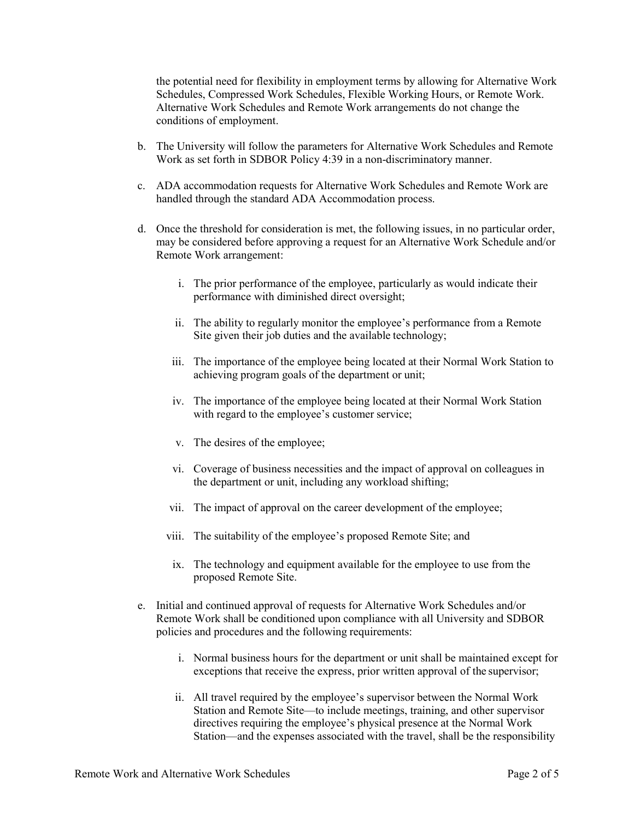the potential need for flexibility in employment terms by allowing for Alternative Work Schedules, Compressed Work Schedules, Flexible Working Hours, or Remote Work. Alternative Work Schedules and Remote Work arrangements do not change the conditions of employment.

- b. The University will follow the parameters for Alternative Work Schedules and Remote Work as set forth in SDBOR Policy 4:39 in a non-discriminatory manner.
- c. ADA accommodation requests for Alternative Work Schedules and Remote Work are handled through the standard ADA Accommodation process.
- d. Once the threshold for consideration is met, the following issues, in no particular order, may be considered before approving a request for an Alternative Work Schedule and/or Remote Work arrangement:
	- i. The prior performance of the employee, particularly as would indicate their performance with diminished direct oversight;
	- ii. The ability to regularly monitor the employee's performance from a Remote Site given their job duties and the available technology;
	- iii. The importance of the employee being located at their Normal Work Station to achieving program goals of the department or unit;
	- iv. The importance of the employee being located at their Normal Work Station with regard to the employee's customer service;
	- v. The desires of the employee;
	- vi. Coverage of business necessities and the impact of approval on colleagues in the department or unit, including any workload shifting;
	- vii. The impact of approval on the career development of the employee;
	- viii. The suitability of the employee's proposed Remote Site; and
	- ix. The technology and equipment available for the employee to use from the proposed Remote Site.
- e. Initial and continued approval of requests for Alternative Work Schedules and/or Remote Work shall be conditioned upon compliance with all University and SDBOR policies and procedures and the following requirements:
	- i. Normal business hours for the department or unit shall be maintained except for exceptions that receive the express, prior written approval of the supervisor;
	- ii. All travel required by the employee's supervisor between the Normal Work Station and Remote Site—to include meetings, training, and other supervisor directives requiring the employee's physical presence at the Normal Work Station—and the expenses associated with the travel, shall be the responsibility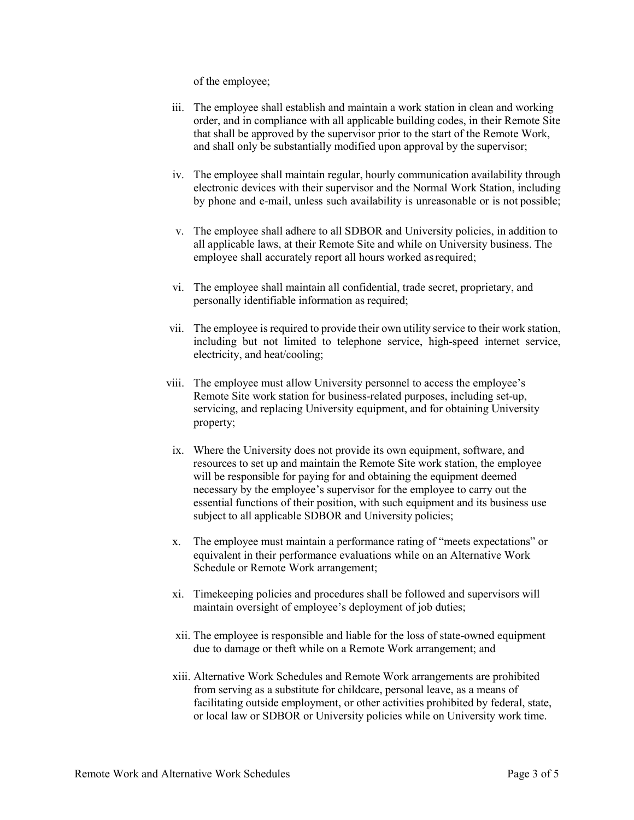of the employee;

- iii. The employee shall establish and maintain a work station in clean and working order, and in compliance with all applicable building codes, in their Remote Site that shall be approved by the supervisor prior to the start of the Remote Work, and shall only be substantially modified upon approval by the supervisor;
- iv. The employee shall maintain regular, hourly communication availability through electronic devices with their supervisor and the Normal Work Station, including by phone and e-mail, unless such availability is unreasonable or is not possible;
- v. The employee shall adhere to all SDBOR and University policies, in addition to all applicable laws, at their Remote Site and while on University business. The employee shall accurately report all hours worked asrequired;
- vi. The employee shall maintain all confidential, trade secret, proprietary, and personally identifiable information as required;
- vii. The employee is required to provide their own utility service to their work station, including but not limited to telephone service, high-speed internet service, electricity, and heat/cooling;
- viii. The employee must allow University personnel to access the employee's Remote Site work station for business-related purposes, including set-up, servicing, and replacing University equipment, and for obtaining University property;
	- ix. Where the University does not provide its own equipment, software, and resources to set up and maintain the Remote Site work station, the employee will be responsible for paying for and obtaining the equipment deemed necessary by the employee's supervisor for the employee to carry out the essential functions of their position, with such equipment and its business use subject to all applicable SDBOR and University policies;
- x. The employee must maintain a performance rating of "meets expectations" or equivalent in their performance evaluations while on an Alternative Work Schedule or Remote Work arrangement;
- xi. Timekeeping policies and procedures shall be followed and supervisors will maintain oversight of employee's deployment of job duties;
- xii. The employee is responsible and liable for the loss of state-owned equipment due to damage or theft while on a Remote Work arrangement; and
- xiii. Alternative Work Schedules and Remote Work arrangements are prohibited from serving as a substitute for childcare, personal leave, as a means of facilitating outside employment, or other activities prohibited by federal, state, or local law or SDBOR or University policies while on University work time.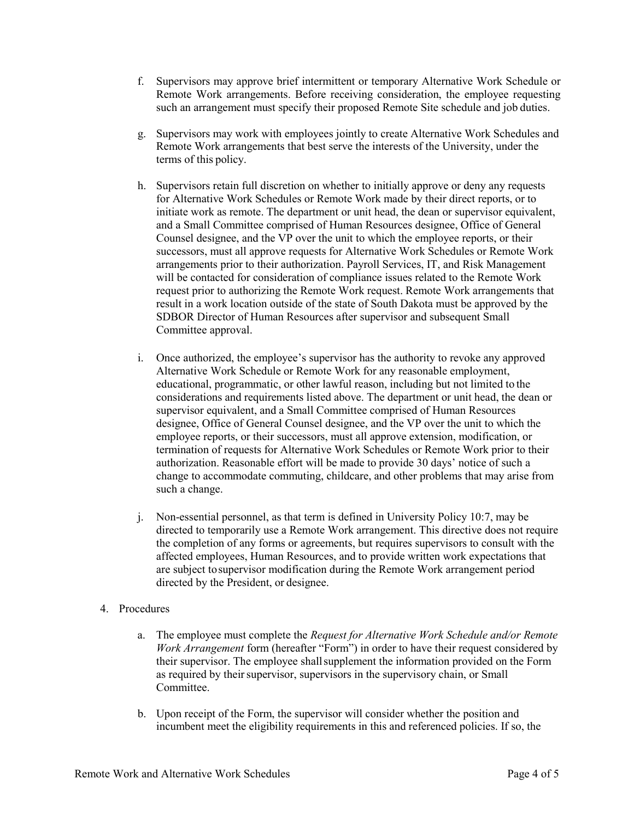- f. Supervisors may approve brief intermittent or temporary Alternative Work Schedule or Remote Work arrangements. Before receiving consideration, the employee requesting such an arrangement must specify their proposed Remote Site schedule and job duties.
- g. Supervisors may work with employees jointly to create Alternative Work Schedules and Remote Work arrangements that best serve the interests of the University, under the terms of this policy.
- h. Supervisors retain full discretion on whether to initially approve or deny any requests for Alternative Work Schedules or Remote Work made by their direct reports, or to initiate work as remote. The department or unit head, the dean or supervisor equivalent, and a Small Committee comprised of Human Resources designee, Office of General Counsel designee, and the VP over the unit to which the employee reports, or their successors, must all approve requests for Alternative Work Schedules or Remote Work arrangements prior to their authorization. Payroll Services, IT, and Risk Management will be contacted for consideration of compliance issues related to the Remote Work request prior to authorizing the Remote Work request. Remote Work arrangements that result in a work location outside of the state of South Dakota must be approved by the SDBOR Director of Human Resources after supervisor and subsequent Small Committee approval.
- i. Once authorized, the employee's supervisor has the authority to revoke any approved Alternative Work Schedule or Remote Work for any reasonable employment, educational, programmatic, or other lawful reason, including but not limited to the considerations and requirements listed above. The department or unit head, the dean or supervisor equivalent, and a Small Committee comprised of Human Resources designee, Office of General Counsel designee, and the VP over the unit to which the employee reports, or their successors, must all approve extension, modification, or termination of requests for Alternative Work Schedules or Remote Work prior to their authorization. Reasonable effort will be made to provide 30 days' notice of such a change to accommodate commuting, childcare, and other problems that may arise from such a change.
- j. Non-essential personnel, as that term is defined in University Policy 10:7, may be directed to temporarily use a Remote Work arrangement. This directive does not require the completion of any forms or agreements, but requires supervisors to consult with the affected employees, Human Resources, and to provide written work expectations that are subject tosupervisor modification during the Remote Work arrangement period directed by the President, or designee.
- 4. Procedures
	- a. The employee must complete the *Request for Alternative Work Schedule and/or Remote Work Arrangement* form (hereafter "Form") in order to have their request considered by their supervisor. The employee shallsupplement the information provided on the Form as required by their supervisor, supervisors in the supervisory chain, or Small Committee.
	- b. Upon receipt of the Form, the supervisor will consider whether the position and incumbent meet the eligibility requirements in this and referenced policies. If so, the